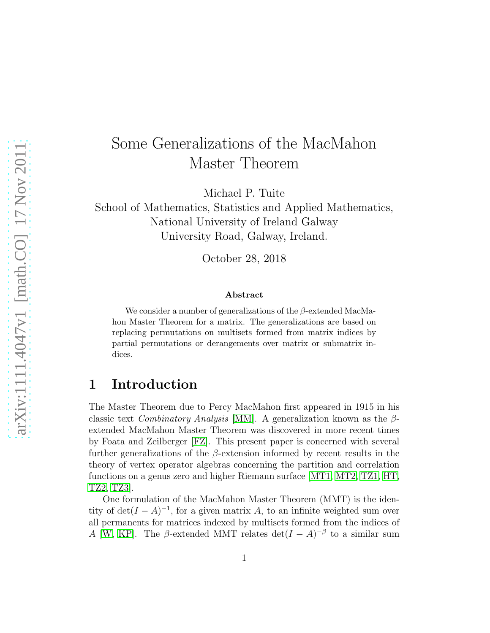# Some Generalizations of the MacMahon Master Theorem

Michael P. Tuite

School of Mathematics, Statistics and Applied Mathematics, National University of Ireland Galway University Road, Galway, Ireland.

October 28, 2018

#### Abstract

We consider a number of generalizations of the  $\beta$ -extended MacMahon Master Theorem for a matrix. The generalizations are based on replacing permutations on multisets formed from matrix indices by partial permutations or derangements over matrix or submatrix indices.

### 1 Introduction

The Master Theorem due to Percy MacMahon first appeared in 1915 in his classic text *Combinatory Analysis* [\[MM\]](#page-15-0). A generalization known as the  $\beta$ extended MacMahon Master Theorem was discovered in more recent times by Foata and Zeilberger [\[FZ\]](#page-15-1). This present paper is concerned with several further generalizations of the  $\beta$ -extension informed by recent results in the theory of vertex operator algebras concerning the partition and correlation functions on a genus zero and higher Riemann surface [\[MT1,](#page-15-2) [MT2,](#page-15-3) [TZ1,](#page-15-4) [HT,](#page-15-5) [TZ2,](#page-15-6) [TZ3\]](#page-15-7).

One formulation of the MacMahon Master Theorem (MMT) is the identity of  $\det(I - A)^{-1}$ , for a given matrix A, to an infinite weighted sum over all permanents for matrices indexed by multisets formed from the indices of A [\[W,](#page-15-8) [KP\]](#page-15-9). The  $\beta$ -extended MMT relates  $\det(I - A)^{-\beta}$  to a similar sum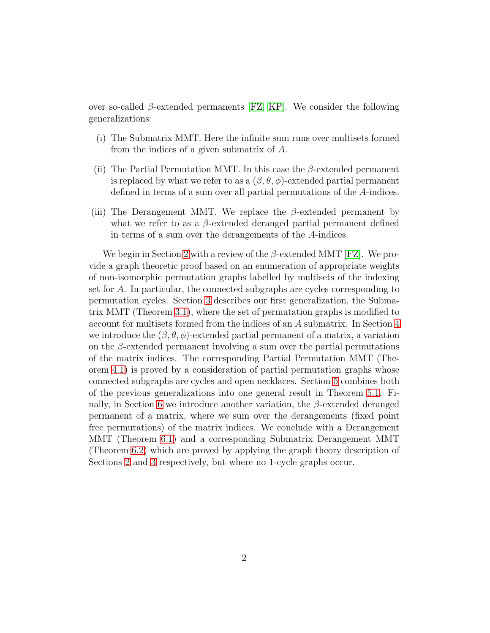over so-called  $\beta$ -extended permanents [\[FZ,](#page-15-1) [KP\]](#page-15-9). We consider the following generalizations:

- (i) The Submatrix MMT. Here the infinite sum runs over multisets formed from the indices of a given submatrix of A.
- (ii) The Partial Permutation MMT. In this case the  $\beta$ -extended permanent is replaced by what we refer to as a  $(\beta, \theta, \phi)$ -extended partial permanent defined in terms of a sum over all partial permutations of the A-indices.
- (iii) The Derangement MMT. We replace the  $\beta$ -extended permanent by what we refer to as a  $\beta$ -extended deranged partial permanent defined in terms of a sum over the derangements of the A-indices.

We begin in Section [2](#page-2-0) with a review of the  $\beta$ -extended MMT [\[FZ\]](#page-15-1). We provide a graph theoretic proof based on an enumeration of appropriate weights of non-isomorphic permutation graphs labelled by multisets of the indexing set for A. In particular, the connected subgraphs are cycles corresponding to permutation cycles. Section [3](#page-5-0) describes our first generalization, the Submatrix MMT (Theorem [3.1\)](#page-6-0), where the set of permutation graphs is modified to account for multisets formed from the indices of an A submatrix. In Section [4](#page-8-0) we introduce the  $(\beta, \theta, \phi)$ -extended partial permanent of a matrix, a variation on the  $\beta$ -extended permanent involving a sum over the partial permutations of the matrix indices. The corresponding Partial Permutation MMT (Theorem [4.1\)](#page-9-0) is proved by a consideration of partial permutation graphs whose connected subgraphs are cycles and open necklaces. Section [5](#page-12-0) combines both of the previous generalizations into one general result in Theorem [5.1.](#page-12-1) Fi-nally, in Section [6](#page-13-0) we introduce another variation, the  $\beta$ -extended deranged permanent of a matrix, where we sum over the derangements (fixed point free permutations) of the matrix indices. We conclude with a Derangement MMT (Theorem [6.1\)](#page-13-1) and a corresponding Submatrix Derangement MMT (Theorem [6.2\)](#page-14-0) which are proved by applying the graph theory description of Sections [2](#page-2-0) and [3](#page-5-0) respectively, but where no 1-cycle graphs occur.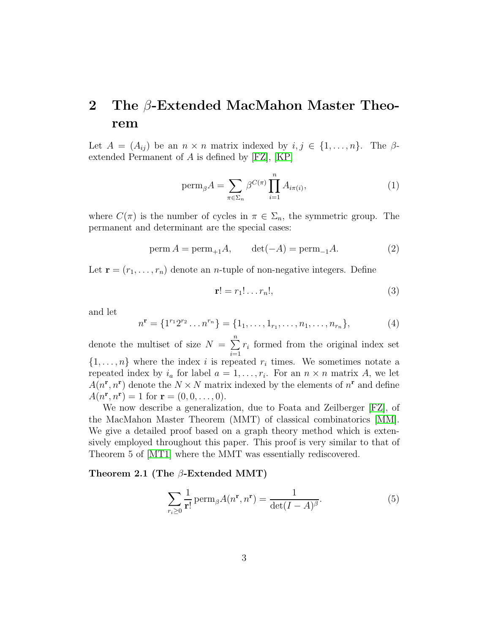### <span id="page-2-0"></span>2 The β-Extended MacMahon Master Theorem

Let  $A = (A_{ij})$  be an  $n \times n$  matrix indexed by  $i, j \in \{1, ..., n\}$ . The  $\beta$ extended Permanent of A is defined by [\[FZ\]](#page-15-1), [\[KP\]](#page-15-9)

$$
\operatorname{perm}_{\beta} A = \sum_{\pi \in \Sigma_n} \beta^{C(\pi)} \prod_{i=1}^n A_{i\pi(i)},\tag{1}
$$

where  $C(\pi)$  is the number of cycles in  $\pi \in \Sigma_n$ , the symmetric group. The permanent and determinant are the special cases:

<span id="page-2-2"></span>
$$
\operatorname{perm} A = \operatorname{perm}_{+1} A, \qquad \det(-A) = \operatorname{perm}_{-1} A. \tag{2}
$$

Let  $\mathbf{r} = (r_1, \ldots, r_n)$  denote an *n*-tuple of non-negative integers. Define

$$
\mathbf{r}! = r_1! \dots r_n!,\tag{3}
$$

and let

$$
n^{\mathbf{r}} = \{1^{r_1} 2^{r_2} \dots n^{r_n}\} = \{1_1, \dots, 1_{r_1}, \dots, n_1, \dots, n_{r_n}\},\tag{4}
$$

denote the multiset of size  $N = \sum_{n=1}^{\infty}$  $i=1$  $r_i$  formed from the original index set  $\{1, \ldots, n\}$  where the index i is repeated  $r_i$  times. We sometimes notate a repeated index by  $i_a$  for label  $a = 1, \ldots, r_i$ . For an  $n \times n$  matrix A, we let  $A(n^r, n^r)$  denote the  $N \times N$  matrix indexed by the elements of  $n^r$  and define  $A(n^{\mathbf{r}}, n^{\mathbf{r}}) = 1$  for  $\mathbf{r} = (0, 0, \dots, 0)$ .

We now describe a generalization, due to Foata and Zeilberger [\[FZ\]](#page-15-1), of the MacMahon Master Theorem (MMT) of classical combinatorics [\[MM\]](#page-15-0). We give a detailed proof based on a graph theory method which is extensively employed throughout this paper. This proof is very similar to that of Theorem 5 of [\[MT1\]](#page-15-2) where the MMT was essentially rediscovered.

#### Theorem 2.1 (The  $\beta$ -Extended MMT)

<span id="page-2-1"></span>
$$
\sum_{r_i \ge 0} \frac{1}{r!} \operatorname{perm}_{\beta} A(n^r, n^r) = \frac{1}{\det(I - A)^{\beta}}.
$$
 (5)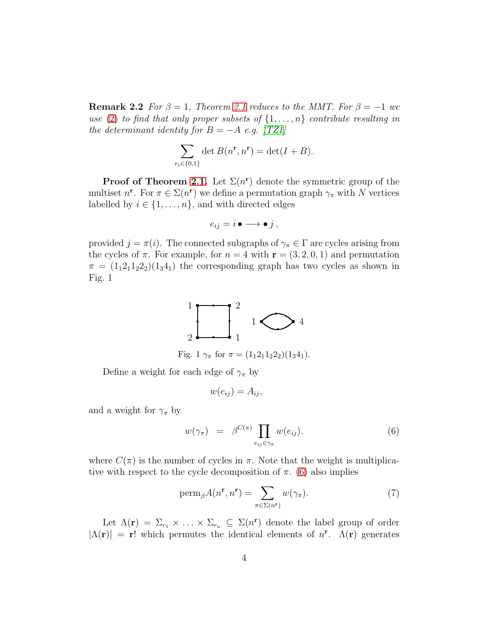**Remark 2.2** For  $\beta = 1$ , Theorem [2.1](#page-2-1) reduces to the MMT. For  $\beta = -1$  we use [\(2\)](#page-2-2) to find that only proper subsets of  $\{1, \ldots, n\}$  contribute resulting in the determinant identity for  $B = -A$  e.g. [\[TZ1\]](#page-15-4)

$$
\sum_{r_i \in \{0,1\}} \det B(n^{\mathbf{r}}, n^{\mathbf{r}}) = \det(I + B).
$$

**Proof of Theorem [2.1.](#page-2-1)** Let  $\Sigma(n^r)$  denote the symmetric group of the multiset  $n^r$ . For  $\pi \in \Sigma(n^r)$  we define a permutation graph  $\gamma_{\pi}$  with N vertices labelled by  $i \in \{1, \ldots, n\}$ , and with directed edges

$$
e_{ij}=i\bullet\longrightarrow\bullet j\,,
$$

provided  $j = \pi(i)$ . The connected subgraphs of  $\gamma_{\pi} \in \Gamma$  are cycles arising from the cycles of  $\pi$ . For example, for  $n = 4$  with  $\mathbf{r} = (3, 2, 0, 1)$  and permutation  $\pi = (1_1 2_1 1_2 2_2)(1_3 4_1)$  the corresponding graph has two cycles as shown in Fig. 1



Fig. 1  $\gamma_{\pi}$  for  $\pi = (1_1 2_1 1_2 2_2)(1_3 4_1).$ 

Define a weight for each edge of  $\gamma_{\pi}$  by

$$
w(e_{ij})=A_{ij},
$$

and a weight for  $\gamma_{\pi}$  by

<span id="page-3-0"></span>
$$
w(\gamma_{\pi}) = \beta^{C(\pi)} \prod_{e_{ij} \in \gamma_{\pi}} w(e_{ij}). \tag{6}
$$

where  $C(\pi)$  is the number of cycles in  $\pi$ . Note that the weight is multiplicative with respect to the cycle decomposition of  $\pi$ . [\(6\)](#page-3-0) also implies

<span id="page-3-1"></span>
$$
\operatorname{perm}_{\beta} A(n^{\mathbf{r}}, n^{\mathbf{r}}) = \sum_{\pi \in \Sigma(n^{\mathbf{r}})} w(\gamma_{\pi}). \tag{7}
$$

Let  $\Lambda(\mathbf{r}) = \Sigma_{r_1} \times \ldots \times \Sigma_{r_n} \subseteq \Sigma(n^{\mathbf{r}})$  denote the label group of order  $|\Lambda(\mathbf{r})| = \mathbf{r}!$  which permutes the identical elements of  $n^{\mathbf{r}}$ .  $\Lambda(\mathbf{r})$  generates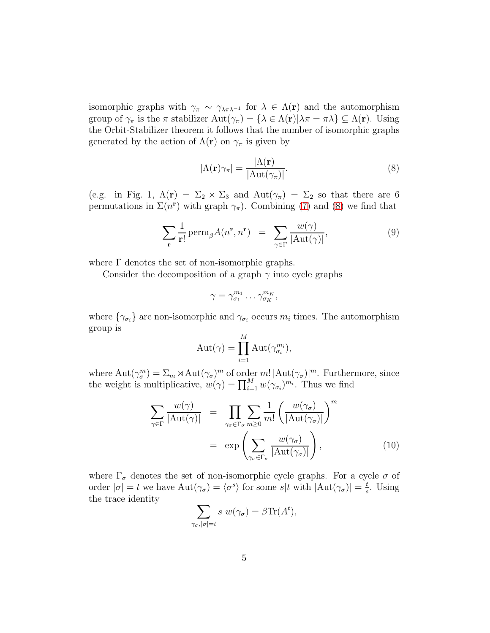isomorphic graphs with  $\gamma_{\pi} \sim \gamma_{\lambda \pi \lambda^{-1}}$  for  $\lambda \in \Lambda(\mathbf{r})$  and the automorphism group of  $\gamma_{\pi}$  is the  $\pi$  stabilizer  $\text{Aut}(\gamma_{\pi}) = {\lambda \in \Lambda(\mathbf{r}) | \lambda \pi = \pi \lambda} \subseteq \Lambda(\mathbf{r})$ . Using the Orbit-Stabilizer theorem it follows that the number of isomorphic graphs generated by the action of  $\Lambda(\mathbf{r})$  on  $\gamma_{\pi}$  is given by

<span id="page-4-0"></span>
$$
|\Lambda(\mathbf{r})\gamma_{\pi}| = \frac{|\Lambda(\mathbf{r})|}{|\mathrm{Aut}(\gamma_{\pi})|}.
$$
 (8)

(e.g. in Fig. 1,  $\Lambda(\mathbf{r}) = \Sigma_2 \times \Sigma_3$  and  $\text{Aut}(\gamma_\pi) = \Sigma_2$  so that there are 6 permutations in  $\Sigma(n^r)$  with graph  $\gamma_{\pi}$ ). Combining [\(7\)](#page-3-1) and [\(8\)](#page-4-0) we find that

$$
\sum_{\mathbf{r}} \frac{1}{\mathbf{r}!} \operatorname{perm}_{\beta} A(n^{\mathbf{r}}, n^{\mathbf{r}}) = \sum_{\gamma \in \Gamma} \frac{w(\gamma)}{|\mathrm{Aut}(\gamma)|},\tag{9}
$$

where  $\Gamma$  denotes the set of non-isomorphic graphs.

Consider the decomposition of a graph  $\gamma$  into cycle graphs

$$
\gamma = \gamma_{\sigma_1}^{m_1} \dots \gamma_{\sigma_K}^{m_K},
$$

where  $\{\gamma_{\sigma_i}\}$  are non-isomorphic and  $\gamma_{\sigma_i}$  occurs  $m_i$  times. The automorphism group is  $\overline{M}$ 

$$
Aut(\gamma) = \prod_{i=1}^{M} Aut(\gamma_{\sigma_i}^{m_i}),
$$

where  $\mathrm{Aut}(\gamma_\sigma^m) = \Sigma_m \rtimes \mathrm{Aut}(\gamma_\sigma)^m$  of order  $m! |\mathrm{Aut}(\gamma_\sigma)|^m$ . Furthermore, since the weight is multiplicative,  $w(\gamma) = \prod_{i=1}^{M} w(\gamma_{\sigma_i})^{m_i}$ . Thus we find

<span id="page-4-1"></span>
$$
\sum_{\gamma \in \Gamma} \frac{w(\gamma)}{|\text{Aut}(\gamma)|} = \prod_{\gamma_{\sigma} \in \Gamma_{\sigma}} \sum_{m \ge 0} \frac{1}{m!} \left( \frac{w(\gamma_{\sigma})}{|\text{Aut}(\gamma_{\sigma})|} \right)^m
$$

$$
= \exp \left( \sum_{\gamma_{\sigma} \in \Gamma_{\sigma}} \frac{w(\gamma_{\sigma})}{|\text{Aut}(\gamma_{\sigma})|} \right), \tag{10}
$$

where  $\Gamma_{\sigma}$  denotes the set of non-isomorphic cycle graphs. For a cycle  $\sigma$  of order  $|\sigma| = t$  we have  $\mathrm{Aut}(\gamma_{\sigma}) = \langle \sigma^s \rangle$  for some  $s|t$  with  $|\mathrm{Aut}(\gamma_{\sigma})| = \frac{t}{s}$  $\frac{t}{s}$ . Using the trace identity

$$
\sum_{\gamma_{\sigma}, |\sigma|=t} s \ w(\gamma_{\sigma}) = \beta \text{Tr}(A^t),
$$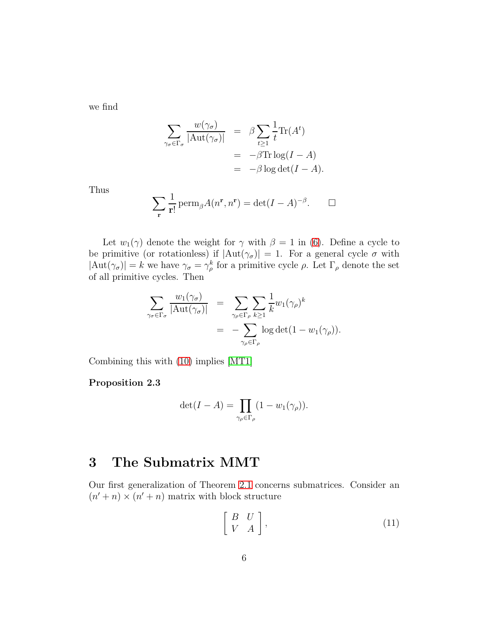we find

$$
\sum_{\gamma_{\sigma} \in \Gamma_{\sigma}} \frac{w(\gamma_{\sigma})}{|\text{Aut}(\gamma_{\sigma})|} = \beta \sum_{t \ge 1} \frac{1}{t} \text{Tr}(A^t)
$$

$$
= -\beta \text{Tr} \log(I - A)
$$

$$
= -\beta \log \det(I - A).
$$

Thus

$$
\sum_{\mathbf{r}} \frac{1}{\mathbf{r}!} \operatorname{perm}_{\beta} A(n^{\mathbf{r}}, n^{\mathbf{r}}) = \det(I - A)^{-\beta}.
$$

Let  $w_1(\gamma)$  denote the weight for  $\gamma$  with  $\beta = 1$  in [\(6\)](#page-3-0). Define a cycle to be primitive (or rotationless) if  $|Aut(\gamma_{\sigma})|=1$ . For a general cycle  $\sigma$  with  $|\text{Aut}(\gamma_{\sigma})| = k$  we have  $\gamma_{\sigma} = \gamma_{\rho}^{k}$  for a primitive cycle  $\rho$ . Let  $\Gamma_{\rho}$  denote the set of all primitive cycles. Then

$$
\sum_{\gamma_{\sigma} \in \Gamma_{\sigma}} \frac{w_1(\gamma_{\sigma})}{|\text{Aut}(\gamma_{\sigma})|} = \sum_{\gamma_{\rho} \in \Gamma_{\rho}} \sum_{k \geq 1} \frac{1}{k} w_1(\gamma_{\rho})^k
$$
  
= 
$$
-\sum_{\gamma_{\rho} \in \Gamma_{\rho}} \log \det(1 - w_1(\gamma_{\rho})).
$$

Combining this with [\(10\)](#page-4-1) implies [\[MT1\]](#page-15-2)

### Proposition 2.3

$$
\det(I - A) = \prod_{\gamma_{\rho} \in \Gamma_{\rho}} (1 - w_1(\gamma_{\rho})).
$$

### <span id="page-5-0"></span>3 The Submatrix MMT

Our first generalization of Theorem [2.1](#page-2-1) concerns submatrices. Consider an  $(n' + n) \times (n' + n)$  matrix with block structure

<span id="page-5-1"></span>
$$
\left[\begin{array}{cc} B & U \\ V & A \end{array}\right],\tag{11}
$$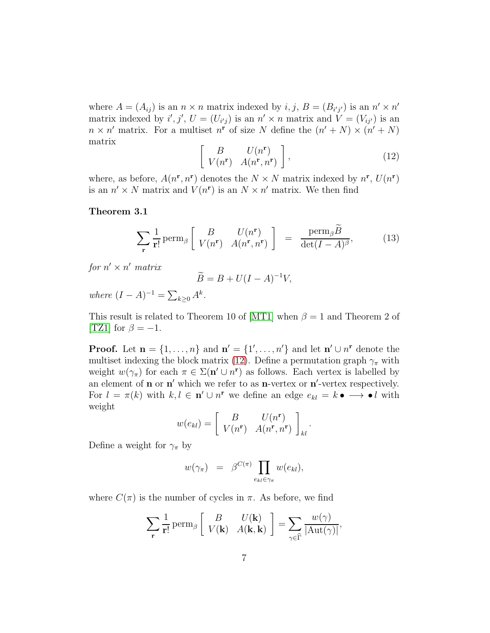where  $A = (A_{ij})$  is an  $n \times n$  matrix indexed by  $i, j, B = (B_{i'j'})$  is an  $n' \times n'$ matrix indexed by  $i', j', U = (U_{i'j})$  is an  $n' \times n$  matrix and  $V = (V_{ij'})$  is an  $n \times n'$  matrix. For a multiset  $n^r$  of size N define the  $(n' + N) \times (n' + N)$ matrix

<span id="page-6-1"></span>
$$
\left[\begin{array}{cc} B & U(n^{\mathbf{r}}) \\ V(n^{\mathbf{r}}) & A(n^{\mathbf{r}}, n^{\mathbf{r}}) \end{array}\right],\tag{12}
$$

<span id="page-6-0"></span>where, as before,  $A(n^{\mathbf{r}}, n^{\mathbf{r}})$  denotes the  $N \times N$  matrix indexed by  $n^{\mathbf{r}}$ ,  $U(n^{\mathbf{r}})$ is an  $n' \times N$  matrix and  $V(n^r)$  is an  $N \times n'$  matrix. We then find

#### Theorem 3.1

<span id="page-6-2"></span>
$$
\sum_{\mathbf{r}} \frac{1}{\mathbf{r}!} \operatorname{perm}_{\beta} \left[ \begin{array}{cc} B & U(n^{\mathbf{r}}) \\ V(n^{\mathbf{r}}) & A(n^{\mathbf{r}}, n^{\mathbf{r}}) \end{array} \right] = \frac{\operatorname{perm}_{\beta} \widetilde{B}}{\det(I - A)^{\beta}}, \quad (13)
$$

for  $n' \times n'$  matrix

$$
\widetilde{B} = B + U(I - A)^{-1}V,
$$

where  $(I - A)^{-1} = \sum_{k \geq 0} A^k$ .

This result is related to Theorem 10 of [\[MT1\]](#page-15-2) when  $\beta = 1$  and Theorem 2 of [\[TZ1\]](#page-15-4) for  $\beta = -1$ .

**Proof.** Let  $\mathbf{n} = \{1, ..., n\}$  and  $\mathbf{n}' = \{1', ..., n'\}$  and let  $\mathbf{n}' \cup n^{\mathbf{r}}$  denote the multiset indexing the block matrix [\(12\)](#page-6-1). Define a permutation graph  $\gamma_{\pi}$  with weight  $w(\gamma_{\pi})$  for each  $\pi \in \Sigma(\mathbf{n}' \cup n^{\mathbf{r}})$  as follows. Each vertex is labelled by an element of  $\mathbf n$  or  $\mathbf n'$  which we refer to as  $\mathbf n$ -vertex or  $\mathbf n'$ -vertex respectively. For  $l = \pi(k)$  with  $k, l \in \mathbf{n}' \cup n^{\mathbf{r}}$  we define an edge  $e_{kl} = k \bullet \longrightarrow \bullet l$  with weight

$$
w(e_{kl}) = \begin{bmatrix} B & U(n^{\mathbf{r}}) \\ V(n^{\mathbf{r}}) & A(n^{\mathbf{r}}, n^{\mathbf{r}}) \end{bmatrix}_{kl}.
$$

Define a weight for  $\gamma_{\pi}$  by

$$
w(\gamma_{\pi}) = \beta^{C(\pi)} \prod_{e_{kl} \in \gamma_{\pi}} w(e_{kl}),
$$

where  $C(\pi)$  is the number of cycles in  $\pi$ . As before, we find

$$
\sum_{\mathbf{r}} \frac{1}{\mathbf{r}!} \operatorname{perm}_{\beta} \left[ \begin{array}{cc} B & U(\mathbf{k}) \\ V(\mathbf{k}) & A(\mathbf{k}, \mathbf{k}) \end{array} \right] = \sum_{\gamma \in \widehat{\Gamma}} \frac{w(\gamma)}{|\mathrm{Aut}(\gamma)|},
$$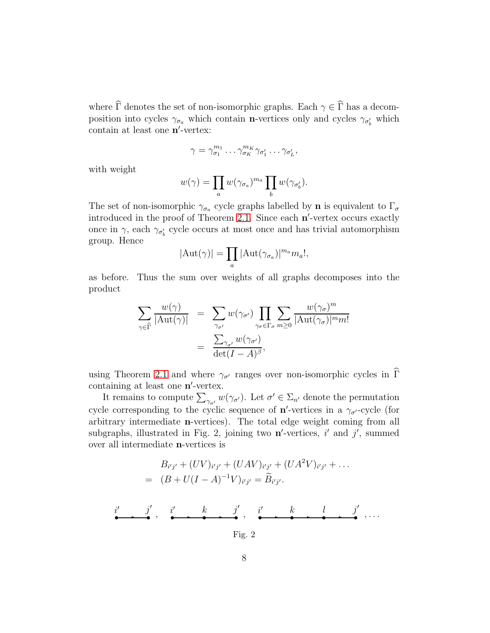where  $\widehat{\Gamma}$  denotes the set of non-isomorphic graphs. Each  $\gamma \in \widehat{\Gamma}$  has a decomposition into cycles  $\gamma_{\sigma_a}$  which contain **n**-vertices only and cycles  $\gamma_{\sigma'_b}$  which contain at least one n'-vertex:

$$
\gamma = \gamma_{\sigma_1}^{m_1} \dots \gamma_{\sigma_K}^{m_K} \gamma_{\sigma'_1} \dots \gamma_{\sigma'_L},
$$

with weight

$$
w(\gamma) = \prod_a w(\gamma_{\sigma_a})^{m_a} \prod_b w(\gamma_{\sigma'_b}).
$$

The set of non-isomorphic  $\gamma_{\sigma_a}$  cycle graphs labelled by **n** is equivalent to  $\Gamma_{\sigma}$ introduced in the proof of Theorem [2.1.](#page-2-1) Since each n'-vertex occurs exactly once in  $\gamma$ , each  $\gamma_{\sigma'_{b}}$  cycle occurs at most once and has trivial automorphism group. Hence

$$
|\mathrm{Aut}(\gamma)| = \prod_a |\mathrm{Aut}(\gamma_{\sigma_a})|^{m_a} m_a!,
$$

as before. Thus the sum over weights of all graphs decomposes into the product

$$
\sum_{\gamma \in \widehat{\Gamma}} \frac{w(\gamma)}{|\text{Aut}(\gamma)|} = \sum_{\gamma_{\sigma'}} w(\gamma_{\sigma'}) \prod_{\gamma_{\sigma} \in \Gamma_{\sigma}} \sum_{m \geq 0} \frac{w(\gamma_{\sigma})^m}{|\text{Aut}(\gamma_{\sigma})|^{m} m!}
$$

$$
= \frac{\sum_{\gamma_{\sigma'}} w(\gamma_{\sigma'})}{\det(I - A)^{\beta}},
$$

using Theorem [2.1](#page-2-1) and where  $\gamma_{\sigma'}$  ranges over non-isomorphic cycles in  $\widehat{\Gamma}$ containing at least one n'-vertex.

It remains to compute  $\sum_{\gamma_{\sigma'}} w(\gamma_{\sigma'})$ . Let  $\sigma' \in \Sigma_{n'}$  denote the permutation cycle corresponding to the cyclic sequence of  $\mathbf{n}'$ -vertices in a  $\gamma_{\sigma'}$ -cycle (for arbitrary intermediate n-vertices). The total edge weight coming from all subgraphs, illustrated in Fig. 2, joining two  $\mathbf{n}'$ -vertices, i' and j', summed over all intermediate n-vertices is

$$
B_{i'j'} + (UV)_{i'j'} + (UAV)_{i'j'} + (UA^2V)_{i'j'} + \dots
$$
\n
$$
= (B + U(I - A)^{-1}V)_{i'j'} = \widetilde{B}_{i'j'}.
$$
\n
$$
i' \qquad j' \qquad k \qquad j' \qquad k \qquad l \qquad j' \qquad \dots
$$
\n
$$
Fig. 2
$$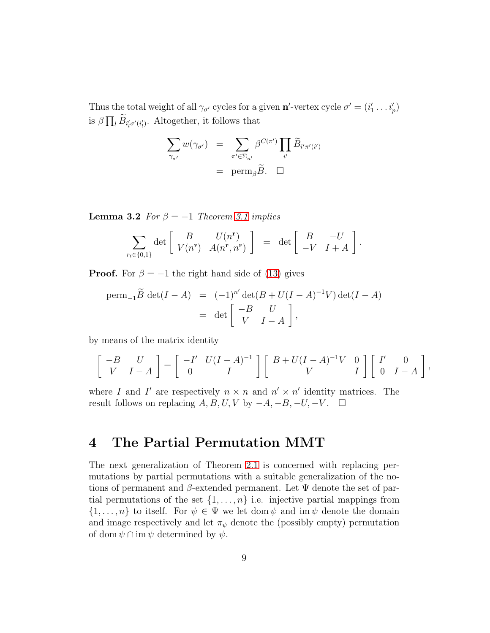Thus the total weight of all  $\gamma_{\sigma'}$  cycles for a given **n'**-vertex cycle  $\sigma' = (i'_1 \dots i'_p)$ is  $\beta \prod_l \widetilde{B}_{i'_l \sigma'(i'_l)}$ . Altogether, it follows that

$$
\sum_{\gamma_{\sigma'}} w(\gamma_{\sigma'}) = \sum_{\pi' \in \Sigma_{n'}} \beta^{C(\pi')} \prod_{i'} \widetilde{B}_{i'\pi'(i')}
$$
  
= perm <sub>$\beta$</sub>   $\widetilde{B}$ .  $\Box$ 

**Lemma 3.2** For  $\beta = -1$  Theorem [3.1](#page-6-0) implies

$$
\sum_{r_i \in \{0,1\}} \det \left[ \begin{array}{cc} B & U(n^{\mathbf{r}}) \\ V(n^{\mathbf{r}}) & A(n^{\mathbf{r}}, n^{\mathbf{r}}) \end{array} \right] = \det \left[ \begin{array}{cc} B & -U \\ -V & I+A \end{array} \right].
$$

**Proof.** For  $\beta = -1$  the right hand side of [\(13\)](#page-6-2) gives

perm<sub>-1</sub>
$$
\widetilde{B}
$$
 det $(I - A)$  =  $(-1)^{n'} \det(B + U(I - A)^{-1}V) \det(I - A)$   
 = det  $\begin{bmatrix} -B & U \\ V & I - A \end{bmatrix}$ ,

by means of the matrix identity

$$
\begin{bmatrix} -B & U \\ V & I-A \end{bmatrix} = \begin{bmatrix} -I' & U(I-A)^{-1} \\ 0 & I \end{bmatrix} \begin{bmatrix} B + U(I-A)^{-1}V & 0 \\ V & I \end{bmatrix} \begin{bmatrix} I' & 0 \\ 0 & I-A \end{bmatrix},
$$

where I and I' are respectively  $n \times n$  and  $n' \times n'$  identity matrices. The result follows on replacing  $A, B, U, V$  by  $-A, -B, -U, -V$ .  $\square$ 

### <span id="page-8-0"></span>4 The Partial Permutation MMT

The next generalization of Theorem [2.1](#page-2-1) is concerned with replacing permutations by partial permutations with a suitable generalization of the notions of permanent and  $\beta$ -extended permanent. Let  $\Psi$  denote the set of partial permutations of the set  $\{1, \ldots, n\}$  i.e. injective partial mappings from  $\{1,\ldots,n\}$  to itself. For  $\psi \in \Psi$  we let dom  $\psi$  and im  $\psi$  denote the domain and image respectively and let  $\pi_{\psi}$  denote the (possibly empty) permutation of dom  $\psi \cap \text{im } \psi$  determined by  $\psi$ .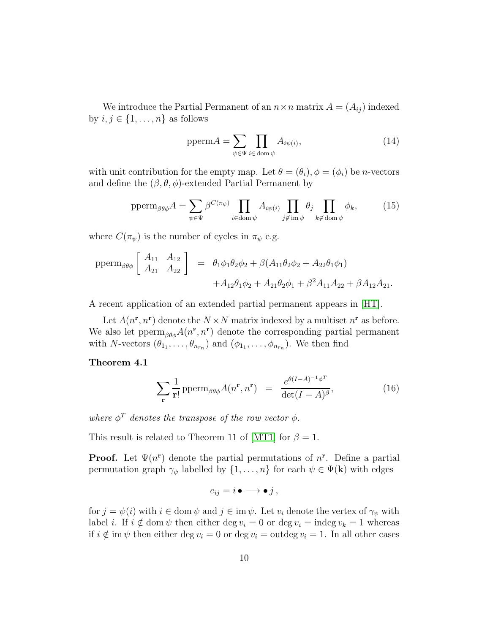We introduce the Partial Permanent of an  $n \times n$  matrix  $A = (A_{ij})$  indexed by  $i, j \in \{1, \ldots, n\}$  as follows

$$
ppermA = \sum_{\psi \in \Psi} \prod_{i \in \text{dom}\,\psi} A_{i\psi(i)},\tag{14}
$$

with unit contribution for the empty map. Let  $\theta = (\theta_i)$ ,  $\phi = (\phi_i)$  be *n*-vectors and define the  $(\beta, \theta, \phi)$ -extended Partial Permanent by

$$
\operatorname{pperm}_{\beta\theta\phi} A = \sum_{\psi \in \Psi} \beta^{C(\pi_{\psi})} \prod_{i \in \operatorname{dom}\psi} A_{i\psi(i)} \prod_{j \notin \operatorname{im}\psi} \theta_j \prod_{k \notin \operatorname{dom}\psi} \phi_k, \tag{15}
$$

where  $C(\pi_{\psi})$  is the number of cycles in  $\pi_{\psi}$  e.g.

$$
\text{pperm}_{\beta\theta\phi} \left[ \begin{array}{cc} A_{11} & A_{12} \\ A_{21} & A_{22} \end{array} \right] = \theta_1 \phi_1 \theta_2 \phi_2 + \beta (A_{11} \theta_2 \phi_2 + A_{22} \theta_1 \phi_1) + A_{12} \theta_1 \phi_2 + A_{21} \theta_2 \phi_1 + \beta^2 A_{11} A_{22} + \beta A_{12} A_{21}.
$$

A recent application of an extended partial permanent appears in [\[HT\]](#page-15-5).

Let  $A(n^r, n^r)$  denote the  $N \times N$  matrix indexed by a multiset  $n^r$  as before. We also let  $\mathrm{pperm}_{\beta\theta\phi}A(n^{\mathbf{r}},n^{\mathbf{r}})$  denote the corresponding partial permanent with *N*-vectors  $(\theta_{1_1}, \ldots, \theta_{n_{r_n}})$  and  $(\phi_{1_1}, \ldots, \phi_{n_{r_n}})$ . We then find

#### Theorem 4.1

<span id="page-9-0"></span>
$$
\sum_{\mathbf{r}} \frac{1}{\mathbf{r}!} \operatorname{pperm}_{\beta\theta\phi} A(n^{\mathbf{r}}, n^{\mathbf{r}}) = \frac{e^{\theta(I-A)^{-1}\phi^T}}{\det(I-A)^{\beta}},
$$
(16)

where  $\phi^T$  denotes the transpose of the row vector  $\phi$ .

This result is related to Theorem 11 of [\[MT1\]](#page-15-2) for  $\beta = 1$ .

**Proof.** Let  $\Psi(n^r)$  denote the partial permutations of  $n^r$ . Define a partial permutation graph  $\gamma_{\psi}$  labelled by  $\{1, \ldots, n\}$  for each  $\psi \in \Psi(\mathbf{k})$  with edges

$$
e_{ij}=i\bullet\longrightarrow\bullet j\,,
$$

for  $j = \psi(i)$  with  $i \in \text{dom } \psi$  and  $j \in \text{im } \psi$ . Let  $v_i$  denote the vertex of  $\gamma_{\psi}$  with label *i*. If  $i \notin \text{dom } \psi$  then either deg  $v_i = 0$  or deg  $v_i = \text{indeg } v_k = 1$  whereas if  $i \notin \text{im } \psi$  then either deg  $v_i = 0$  or deg  $v_i = \text{outdeg } v_i = 1$ . In all other cases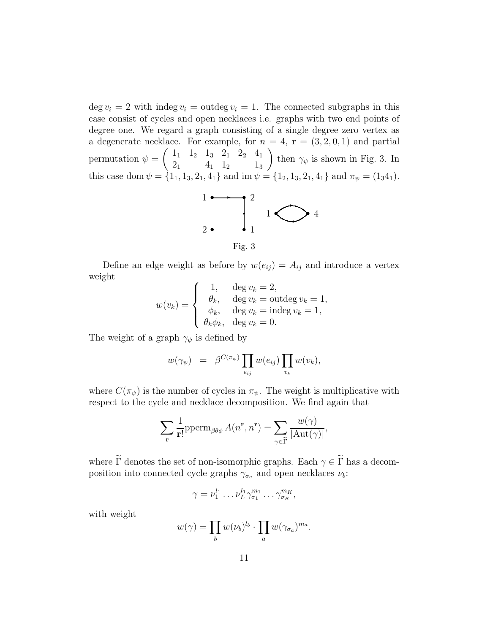$\deg v_i = 2$  with indeg  $v_i = \text{outdeg } v_i = 1$ . The connected subgraphs in this case consist of cycles and open necklaces i.e. graphs with two end points of degree one. We regard a graph consisting of a single degree zero vertex as a degenerate necklace. For example, for  $n = 4$ ,  $\mathbf{r} = (3, 2, 0, 1)$  and partial permutation  $\psi =$  $\begin{pmatrix} 1_1 & 1_2 & 1_3 & 2_1 & 2_2 & 4_1 \end{pmatrix}$  $2_1$   $4_1$   $1_2$   $1_3$  $\setminus$ then  $\gamma_{\psi}$  is shown in Fig. 3. In this case dom  $\psi = \{1_1, 1_3, 2_1, 4_1\}$  and im  $\psi = \{1_2, 1_3, 2_1, 4_1\}$  and  $\pi_{\psi} = (1_3 4_1)$ .



Define an edge weight as before by  $w(e_{ij}) = A_{ij}$  and introduce a vertex weight

$$
w(v_k) = \begin{cases} 1, & \text{deg } v_k = 2, \\ \theta_k, & \text{deg } v_k = \text{outdeg } v_k = 1, \\ \phi_k, & \text{deg } v_k = \text{indeg } v_k = 1, \\ \theta_k \phi_k, & \text{deg } v_k = 0. \end{cases}
$$

The weight of a graph  $\gamma_{\psi}$  is defined by

$$
w(\gamma_{\psi}) = \beta^{C(\pi_{\psi})} \prod_{e_{ij}} w(e_{ij}) \prod_{v_k} w(v_k),
$$

where  $C(\pi_{\psi})$  is the number of cycles in  $\pi_{\psi}$ . The weight is multiplicative with respect to the cycle and necklace decomposition. We find again that

$$
\sum_{\mathbf{r}} \frac{1}{\mathbf{r}!} \text{pperm}_{\beta\theta\phi} A(n^{\mathbf{r}}, n^{\mathbf{r}}) = \sum_{\gamma \in \widetilde{\Gamma}} \frac{w(\gamma)}{|\text{Aut}(\gamma)|},
$$

where  $\widetilde{\Gamma}$  denotes the set of non-isomorphic graphs. Each  $\gamma \in \widetilde{\Gamma}$  has a decomposition into connected cycle graphs  $\gamma_{\sigma_a}$  and open necklaces  $\nu_b$ :

$$
\gamma = \nu_1^{l_1} \dots \nu_L^{l_1} \gamma_{\sigma_1}^{m_1} \dots \gamma_{\sigma_K}^{m_K},
$$

with weight

$$
w(\gamma) = \prod_b w(\nu_b)^{l_b} \cdot \prod_a w(\gamma_{\sigma_a})^{m_a}.
$$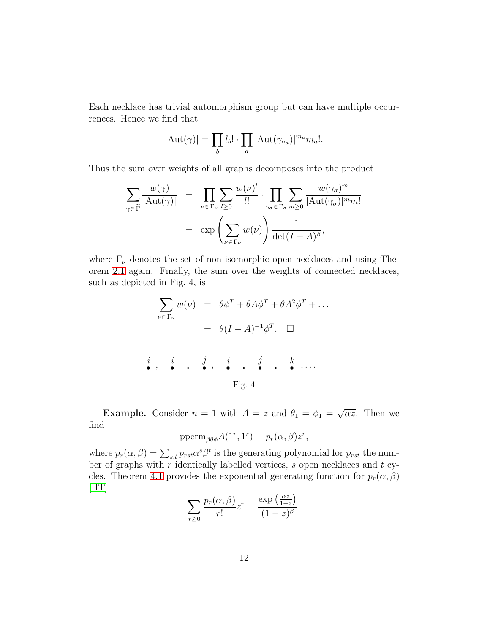Each necklace has trivial automorphism group but can have multiple occurrences. Hence we find that

$$
|\mathrm{Aut}(\gamma)| = \prod_b l_b! \cdot \prod_a |\mathrm{Aut}(\gamma_{\sigma_a})|^{m_a} m_a!.
$$

Thus the sum over weights of all graphs decomposes into the product

$$
\sum_{\gamma \in \widetilde{\Gamma}} \frac{w(\gamma)}{|\mathrm{Aut}(\gamma)|} = \prod_{\nu \in \Gamma_{\nu}} \sum_{l \ge 0} \frac{w(\nu)^l}{l!} \cdot \prod_{\gamma_{\sigma} \in \Gamma_{\sigma}} \sum_{m \ge 0} \frac{w(\gamma_{\sigma})^m}{|\mathrm{Aut}(\gamma_{\sigma})|^{m} m!}
$$

$$
= \exp\left(\sum_{\nu \in \Gamma_{\nu}} w(\nu)\right) \frac{1}{\det(I - A)^{\beta}},
$$

where  $\Gamma_{\nu}$  denotes the set of non-isomorphic open necklaces and using Theorem [2.1](#page-2-1) again. Finally, the sum over the weights of connected necklaces, such as depicted in Fig. 4, is

$$
\sum_{\nu \in \Gamma_{\nu}} w(\nu) = \theta \phi^T + \theta A \phi^T + \theta A^2 \phi^T + \dots
$$
\n
$$
= \theta (I - A)^{-1} \phi^T. \quad \Box
$$
\n*i*, *i*, *j*, *i*, *j*, *k*, ...  
\nFig. 4

**Example.** Consider  $n = 1$  with  $A = z$  and  $\theta_1 = \phi_1 = \sqrt{\alpha z}$ . Then we find

$$
pperm_{\beta\theta\phi}A(1^r, 1^r) = p_r(\alpha, \beta)z^r,
$$

where  $p_r(\alpha, \beta) = \sum_{s,t} p_{rst} \alpha^s \beta^t$  is the generating polynomial for  $p_{rst}$  the number of graphs with  $r$  identically labelled vertices,  $s$  open necklaces and  $t$  cy-cles. Theorem [4.1](#page-9-0) provides the exponential generating function for  $p_r(\alpha, \beta)$  $[HT]$ 

$$
\sum_{r\geq 0} \frac{p_r(\alpha,\beta)}{r!} z^r = \frac{\exp\left(\frac{\alpha z}{1-z}\right)}{(1-z)^{\beta}}.
$$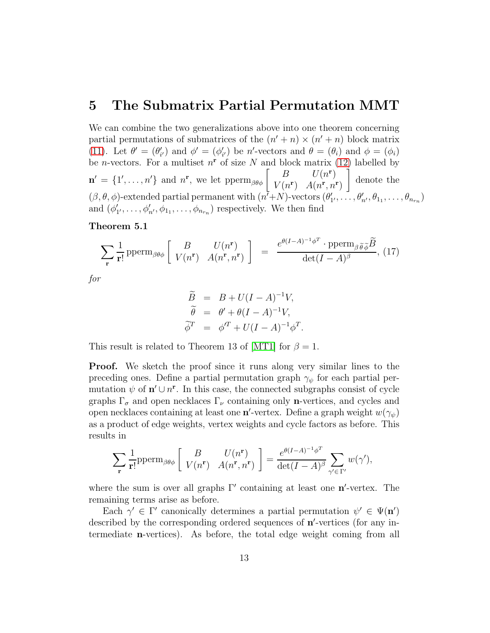### <span id="page-12-0"></span>5 The Submatrix Partial Permutation MMT

We can combine the two generalizations above into one theorem concerning partial permutations of submatrices of the  $(n' + n) \times (n' + n)$  block matrix [\(11\)](#page-5-1). Let  $\theta' = (\theta'_{i'})$  and  $\phi' = (\phi'_{i'})$  be n'-vectors and  $\theta = (\theta_i)$  and  $\phi = (\phi_i)$ be *n*-vectors. For a multiset  $n^r$  of size N and block matrix [\(12\)](#page-6-1) labelled by  $\mathbf{n}' = \{1', \ldots, n'\}$  and  $n^{\mathbf{r}}$ , we let  $\text{pperm}_{\beta\theta\phi} \left[ \begin{array}{cc} B & U(n^{\mathbf{r}}) \\ V(n^{\mathbf{r}}) & A(n^{\mathbf{r}}, n^{\mathbf{r}}) \end{array} \right]$  $V(n^{\mathbf{r}})$   $A(n^{\mathbf{r}}, n^{\mathbf{r}})$ ĺ denote the  $(\beta, \theta, \phi)$ -extended partial permanent with  $(n^7+N)$ -vectors  $(\theta'_1, \ldots, \theta'_{n'}, \theta_{1}, \ldots, \theta_{n_r})$ and  $(\phi'_1, \ldots, \phi'_{n'}, \phi_{1_1}, \ldots, \phi_{n_{r_n}})$  respectively. We then find

#### Theorem 5.1

$$
\sum_{\mathbf{r}} \frac{1}{\mathbf{r}!} \operatorname{pperm}_{\beta\theta\phi} \left[ \begin{array}{cc} B & U(n^{\mathbf{r}}) \\ V(n^{\mathbf{r}}) & A(n^{\mathbf{r}}, n^{\mathbf{r}}) \end{array} \right] = \frac{e^{\theta(I-A)^{-1}\phi^T} \cdot \operatorname{pperm}_{\beta\widetilde{\theta}\widetilde{\phi}} \widetilde{B}}{\det(I-A)^{\beta}}, (17)
$$

for

<span id="page-12-1"></span>
$$
\widetilde{B} = B + U(I - A)^{-1}V,
$$
  
\n
$$
\widetilde{\theta} = \theta' + \theta(I - A)^{-1}V,
$$
  
\n
$$
\widetilde{\phi}^T = \phi'^T + U(I - A)^{-1}\phi^T.
$$

This result is related to Theorem 13 of [\[MT1\]](#page-15-2) for  $\beta = 1$ .

**Proof.** We sketch the proof since it runs along very similar lines to the preceding ones. Define a partial permutation graph  $\gamma_{\psi}$  for each partial permutation  $\psi$  of  $\mathbf{n}' \cup n^{\mathbf{r}}$ . In this case, the connected subgraphs consist of cycle graphs  $\Gamma_{\sigma}$  and open necklaces  $\Gamma_{\nu}$  containing only **n**-vertices, and cycles and open necklaces containing at least one n'-vertex. Define a graph weight  $w(\gamma_{\psi})$ as a product of edge weights, vertex weights and cycle factors as before. This results in

$$
\sum_{\mathbf{r}} \frac{1}{\mathbf{r}!} \text{pperm}_{\beta\theta\phi} \left[ \begin{array}{cc} B & U(n^{\mathbf{r}}) \\ V(n^{\mathbf{r}}) & A(n^{\mathbf{r}}, n^{\mathbf{r}}) \end{array} \right] = \frac{e^{\theta(I-A)^{-1}\phi^T}}{\det(I-A)^{\beta}} \sum_{\gamma' \in \Gamma'} w(\gamma'),
$$

where the sum is over all graphs  $\Gamma'$  containing at least one  $n'$ -vertex. The remaining terms arise as before.

Each  $\gamma' \in \Gamma'$  canonically determines a partial permutation  $\psi' \in \Psi(\mathbf{n}')$ described by the corresponding ordered sequences of  $n'$ -vertices (for any intermediate n-vertices). As before, the total edge weight coming from all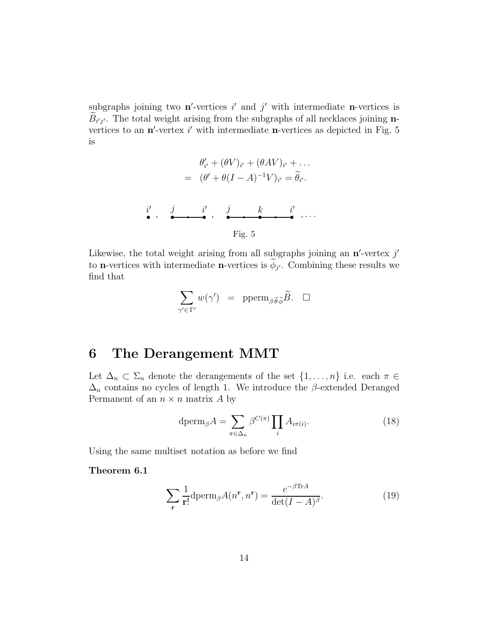subgraphs joining two  $\mathbf{n}'$ -vertices i' and j' with intermediate **n**-vertices is  $B_{i'j'}$ . The total weight arising from the subgraphs of all necklaces joining nvertices to an  $\mathbf{n}'$ -vertex i' with intermediate  $\mathbf{n}$ -vertices as depicted in Fig. 5 is

$$
\theta'_{i'} + (\theta V)_{i'} + (\theta AV)_{i'} + \dots
$$
\n
$$
= (\theta' + \theta (I - A)^{-1} V)_{i'} = \tilde{\theta}_{i'}.
$$
\n
$$
\begin{array}{ccc}\ni' & j & k & i' \\
\bullet & \bullet & \bullet & \bullet & \bullet\n\end{array}, \dots
$$
\nFig. 5

Likewise, the total weight arising from all subgraphs joining an  $n'$ -vertex  $j'$ to **n**-vertices with intermediate **n**-vertices is  $\phi_{j'}$ . Combining these results we find that

$$
\sum_{\gamma' \in \Gamma'} w(\gamma') = \operatorname{pperm}_{\beta \widetilde{\theta} \widetilde{\phi}} \widetilde{B}. \quad \Box
$$

## <span id="page-13-0"></span>6 The Derangement MMT

Let  $\Delta_n \subset \Sigma_n$  denote the derangements of the set  $\{1, \ldots, n\}$  i.e. each  $\pi \in$  $\Delta_n$  contains no cycles of length 1. We introduce the  $\beta$ -extended Deranged Permanent of an  $n \times n$  matrix A by

<span id="page-13-1"></span>
$$
\text{dperm}_{\beta}A = \sum_{\pi \in \Delta_n} \beta^{C(\pi)} \prod_i A_{i\pi(i)}.
$$
 (18)

Using the same multiset notation as before we find

Theorem 6.1

$$
\sum_{\mathbf{r}} \frac{1}{\mathbf{r}!} \text{dperm}_{\beta} A(n^{\mathbf{r}}, n^{\mathbf{r}}) = \frac{e^{-\beta \text{Tr}A}}{\det(I - A)^{\beta}}.
$$
 (19)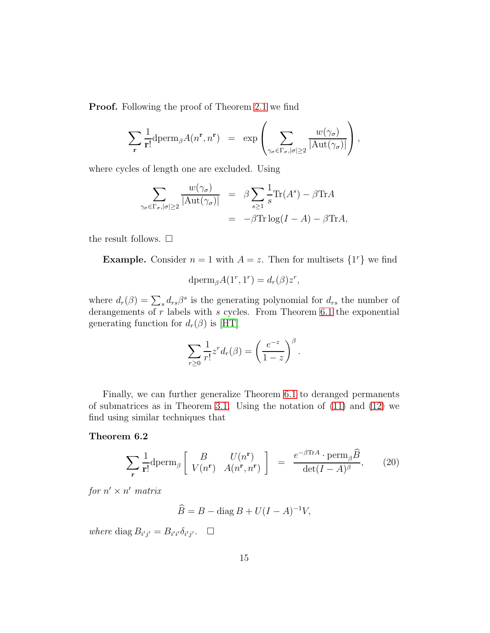**Proof.** Following the proof of Theorem [2.1](#page-2-1) we find

$$
\sum_{\mathbf{r}} \frac{1}{\mathbf{r}!} \mathrm{dperm}_\beta A(n^{\mathbf{r}}, n^{\mathbf{r}}) = \exp \left( \sum_{\gamma_\sigma \in \Gamma_\sigma, |\sigma| \geq 2} \frac{w(\gamma_\sigma)}{|\mathrm{Aut}(\gamma_\sigma)|} \right),
$$

where cycles of length one are excluded. Using

$$
\sum_{\gamma_{\sigma} \in \Gamma_{\sigma}, |\sigma| \ge 2} \frac{w(\gamma_{\sigma})}{|\text{Aut}(\gamma_{\sigma})|} = \beta \sum_{s \ge 1} \frac{1}{s} \text{Tr}(A^s) - \beta \text{Tr}A
$$

$$
= -\beta \text{Tr} \log(I - A) - \beta \text{Tr}A,
$$

the result follows.  $\square$ 

**Example.** Consider  $n = 1$  with  $A = z$ . Then for multisets  $\{1^r\}$  we find

$$
\mathrm{dperm}_\beta A(1^r, 1^r) = d_r(\beta) z^r,
$$

where  $d_r(\beta) = \sum_s d_{rs} \beta^s$  is the generating polynomial for  $d_{rs}$  the number of derangements of  $r$  labels with  $s$  cycles. From Theorem [6.1](#page-13-1) the exponential generating function for  $d_r(\beta)$  is [\[HT\]](#page-15-5)

<span id="page-14-0"></span>
$$
\sum_{r\geq 0} \frac{1}{r!} z^r d_r(\beta) = \left(\frac{e^{-z}}{1-z}\right)^{\beta}.
$$

Finally, we can further generalize Theorem [6.1](#page-13-1) to deranged permanents of submatrices as in Theorem [3.1.](#page-6-0) Using the notation of [\(11\)](#page-5-1) and [\(12\)](#page-6-1) we find using similar techniques that

#### Theorem 6.2

$$
\sum_{\mathbf{r}} \frac{1}{\mathbf{r}!} \text{dperm}_{\beta} \left[ \begin{array}{cc} B & U(n^{\mathbf{r}}) \\ V(n^{\mathbf{r}}) & A(n^{\mathbf{r}}, n^{\mathbf{r}}) \end{array} \right] = \frac{e^{-\beta \text{Tr}A} \cdot \text{perm}_{\beta} \widehat{B}}{\det(I - A)^{\beta}}, \quad (20)
$$

for  $n' \times n'$  matrix

$$
\widehat{B} = B - \text{diag } B + U(I - A)^{-1}V,
$$

where diag  $B_{i'j'} = B_{i'i'} \delta_{i'j'}$ .  $\Box$